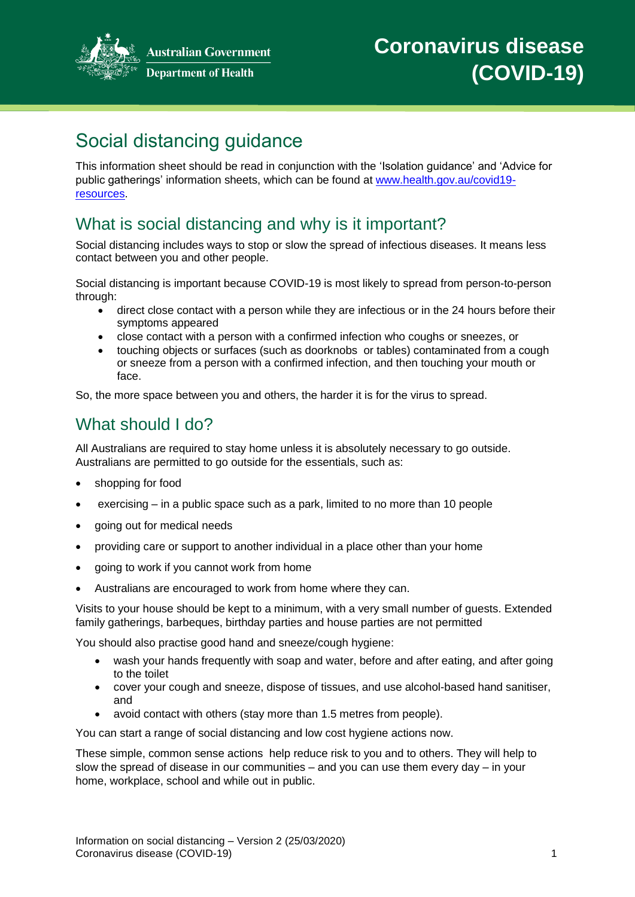

**Australian Government Department of Health** 

# Social distancing guidance

This information sheet should be read in conjunction with the 'Isolation guidance' and 'Advice for public gatherings' information sheets, which can be found at [www.health.gov.au/covid19](http://www.health.gov.au/covid19-resources) [resources.](http://www.health.gov.au/covid19-resources)

## What is social distancing and why is it important?

Social distancing includes ways to stop or slow the spread of infectious diseases. It means less contact between you and other people.

Social distancing is important because COVID-19 is most likely to spread from person-to-person through:

- direct close contact with a person while they are infectious or in the 24 hours before their symptoms appeared
- close contact with a person with a confirmed infection who coughs or sneezes, or
- touching objects or surfaces (such as doorknobs or tables) contaminated from a cough or sneeze from a person with a confirmed infection, and then touching your mouth or face.

So, the more space between you and others, the harder it is for the virus to spread.

### What should I do?

All Australians are required to stay home unless it is absolutely necessary to go outside. Australians are permitted to go outside for the essentials, such as:

- shopping for food
- exercising in a public space such as a park, limited to no more than 10 people
- going out for medical needs
- providing care or support to another individual in a place other than your home
- going to work if you cannot work from home
- Australians are encouraged to work from home where they can.

Visits to your house should be kept to a minimum, with a very small number of guests. Extended family gatherings, barbeques, birthday parties and house parties are not permitted

You should also practise good hand and sneeze/cough hygiene:

- wash your hands frequently with soap and water, before and after eating, and after going to the toilet
- cover your cough and sneeze, dispose of tissues, and use alcohol-based hand sanitiser, and
- avoid contact with others (stay more than 1.5 metres from people).

You can start a range of social distancing and low cost hygiene actions now.

These simple, common sense actions help reduce risk to you and to others. They will help to slow the spread of disease in our communities – and you can use them every day – in your home, workplace, school and while out in public.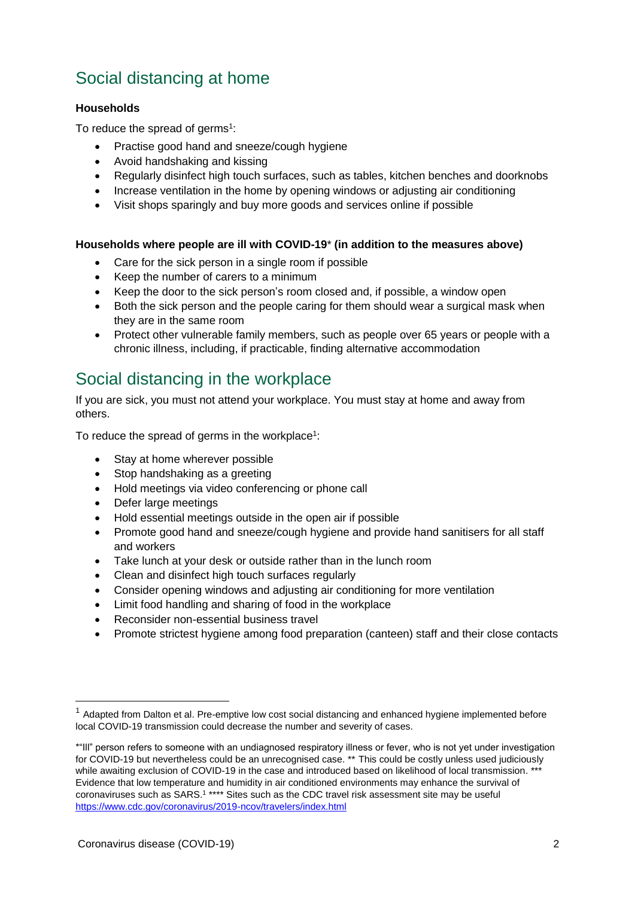## Social distancing at home

#### **Households**

To reduce the spread of germs<sup>1</sup>:

- Practise good hand and sneeze/cough hygiene
- Avoid handshaking and kissing
- Regularly disinfect high touch surfaces, such as tables, kitchen benches and doorknobs
- Increase ventilation in the home by opening windows or adjusting air conditioning
- Visit shops sparingly and buy more goods and services online if possible

#### **Households where people are ill with COVID-19**\* **(in addition to the measures above)**

- Care for the sick person in a single room if possible
- Keep the number of carers to a minimum
- Keep the door to the sick person's room closed and, if possible, a window open
- Both the sick person and the people caring for them should wear a surgical mask when they are in the same room
- Protect other vulnerable family members, such as people over 65 years or people with a chronic illness, including, if practicable, finding alternative accommodation

## Social distancing in the workplace

If you are sick, you must not attend your workplace. You must stay at home and away from others.

To reduce the spread of germs in the workplace<sup>1</sup>:

- Stay at home wherever possible
- Stop handshaking as a greeting
- Hold meetings via video conferencing or phone call
- Defer large meetings
- Hold essential meetings outside in the open air if possible
- Promote good hand and sneeze/cough hygiene and provide hand sanitisers for all staff and workers
- Take lunch at your desk or outside rather than in the lunch room
- Clean and disinfect high touch surfaces regularly
- Consider opening windows and adjusting air conditioning for more ventilation
- Limit food handling and sharing of food in the workplace
- Reconsider non-essential business travel
- Promote strictest hygiene among food preparation (canteen) staff and their close contacts

 $1$  Adapted from Dalton et al. Pre-emptive low cost social distancing and enhanced hygiene implemented before local COVID-19 transmission could decrease the number and severity of cases.

<sup>\*&</sup>quot;Ill" person refers to someone with an undiagnosed respiratory illness or fever, who is not yet under investigation for COVID-19 but nevertheless could be an unrecognised case. \*\* This could be costly unless used judiciously while awaiting exclusion of COVID-19 in the case and introduced based on likelihood of local transmission. \*\*\* Evidence that low temperature and humidity in air conditioned environments may enhance the survival of coronaviruses such as SARS.<sup>1</sup> \*\*\*\* Sites such as the CDC travel risk assessment site may be useful <https://www.cdc.gov/coronavirus/2019-ncov/travelers/index.html>